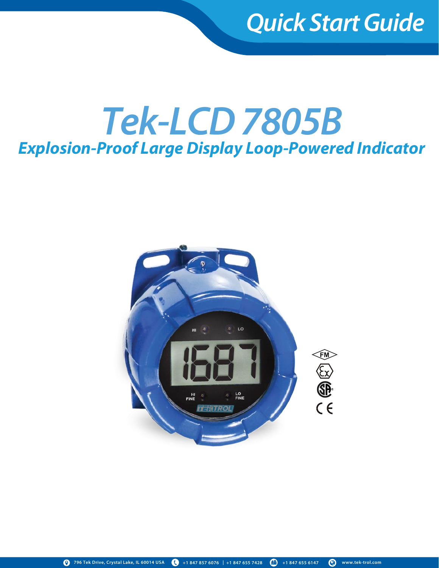## *Quick Start Guide*

# *Tek-LCD 7805B Explosion-Proof Large Display Loop-Powered Indicator*

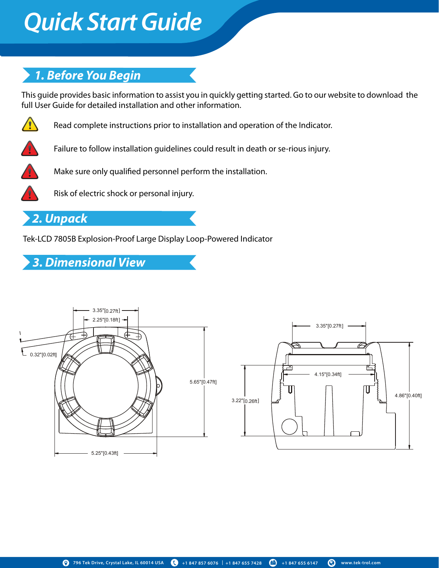# *Quick Start Guide Quick Start Guide*

### *1. Before You Begin*

This guide provides basic information to assist you in quickly getting started. Go to our website to download the full User Guide for detailed installation and other information.



Read complete instructions prior to installation and operation of the Indicator.



Failure to follow installation guidelines could result in death or se-rious injury.



Make sure only qualified personnel perform the installation.



Risk of electric shock or personal injury.

### *2. Unpack*

Tek-LCD 7805B Explosion-Proof Large Display Loop-Powered Indicator

## *3. Dimensional View*

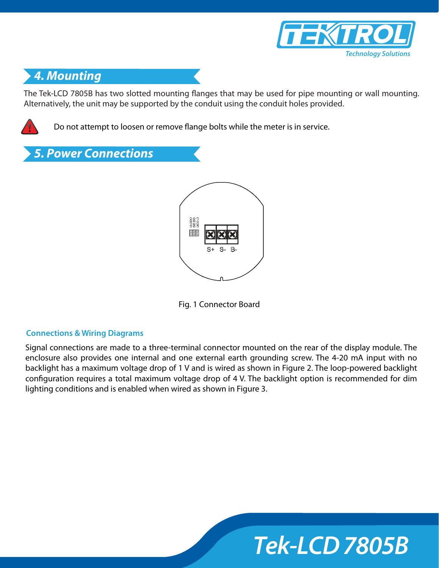

### *4. Mounting*

The Tek-LCD 7805B has two slotted mounting flanges that may be used for pipe mounting or wall mounting. Alternatively, the unit may be supported by the conduit using the conduit holes provided.



Do not attempt to loosen or remove flange bolts while the meter is in service.



Fig. 1 Connector Board

#### **Connections & Wiring Diagrams**

Signal connections are made to a three-terminal connector mounted on the rear of the display module. The enclosure also provides one internal and one external earth grounding screw. The 4-20 mA input with no backlight has a maximum voltage drop of 1 V and is wired as shown in Figure 2. The loop-powered backlight configuration requires a total maximum voltage drop of 4 V. The backlight option is recommended for dim lighting conditions and is enabled when wired as shown in Figure 3.

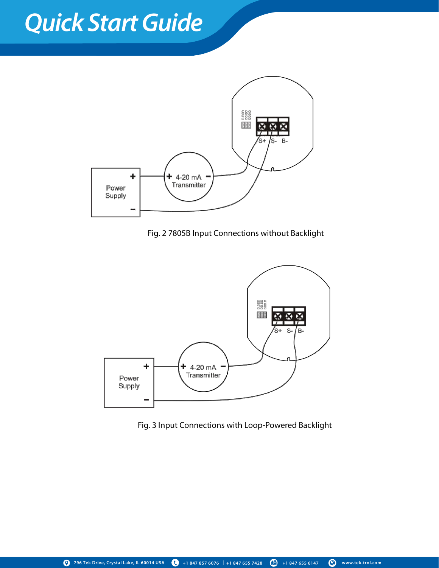# *Quick Start Guide Quick Start Guide*



Fig. 2 7805B Input Connections without Backlight



Fig. 3 Input Connections with Loop-Powered Backlight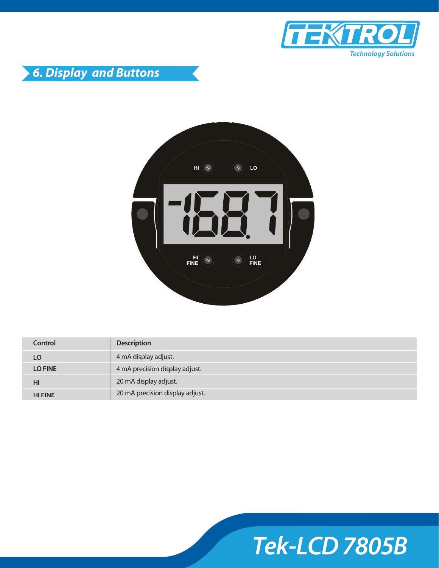





| Control        | <b>Description</b>              |
|----------------|---------------------------------|
| LO             | 4 mA display adjust.            |
| <b>LO FINE</b> | 4 mA precision display adjust.  |
| HI             | 20 mA display adjust.           |
| <b>HI FINE</b> | 20 mA precision display adjust. |

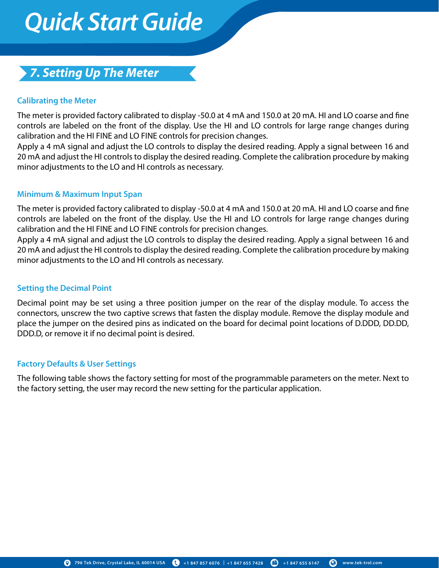# *Quick Start Guide Quick Start Guide*

### *7. Setting Up The Meter*

### **Calibrating the Meter**

The meter is provided factory calibrated to display -50.0 at 4 mA and 150.0 at 20 mA. HI and LO coarse and fine controls are labeled on the front of the display. Use the HI and LO controls for large range changes during calibration and the HI FINE and LO FINE controls for precision changes.

Apply a 4 mA signal and adjust the LO controls to display the desired reading. Apply a signal between 16 and 20 mA and adjust the HI controls to display the desired reading. Complete the calibration procedure by making minor adjustments to the LO and HI controls as necessary.

#### **Minimum & Maximum Input Span**

The meter is provided factory calibrated to display -50.0 at 4 mA and 150.0 at 20 mA. HI and LO coarse and fine controls are labeled on the front of the display. Use the HI and LO controls for large range changes during calibration and the HI FINE and LO FINE controls for precision changes.

Apply a 4 mA signal and adjust the LO controls to display the desired reading. Apply a signal between 16 and 20 mA and adjust the HI controls to display the desired reading. Complete the calibration procedure by making minor adjustments to the LO and HI controls as necessary.

### **Setting the Decimal Point**

Decimal point may be set using a three position jumper on the rear of the display module. To access the connectors, unscrew the two captive screws that fasten the display module. Remove the display module and place the jumper on the desired pins as indicated on the board for decimal point locations of D.DDD, DD.DD, DDD.D, or remove it if no decimal point is desired.

#### **Factory Defaults & User Settings**

The following table shows the factory setting for most of the programmable parameters on the meter. Next to the factory setting, the user may record the new setting for the particular application.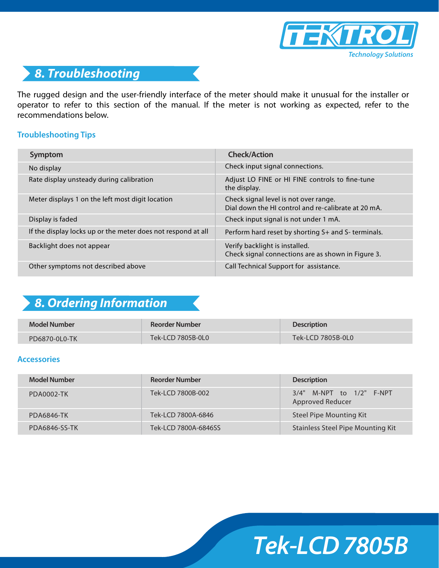



The rugged design and the user-friendly interface of the meter should make it unusual for the installer or operator to refer to this section of the manual. If the meter is not working as expected, refer to the recommendations below.

#### **Troubleshooting Tips**

| Symptom                                                      | <b>Check/Action</b>                                                                          |
|--------------------------------------------------------------|----------------------------------------------------------------------------------------------|
| No display                                                   | Check input signal connections.                                                              |
| Rate display unsteady during calibration                     | Adjust LO FINE or HI FINE controls to fine-tune<br>the display.                              |
| Meter displays 1 on the left most digit location             | Check signal level is not over range.<br>Dial down the HI control and re-calibrate at 20 mA. |
| Display is faded                                             | Check input signal is not under 1 mA.                                                        |
| If the display locks up or the meter does not respond at all | Perform hard reset by shorting S+ and S- terminals.                                          |
| Backlight does not appear                                    | Verify backlight is installed.<br>Check signal connections are as shown in Figure 3.         |
| Other symptoms not described above                           | Call Technical Support for assistance.                                                       |

## *8. Ordering Information*

| <b>Model Number</b> | Reorder Number    | <b>Description</b>                                                              |
|---------------------|-------------------|---------------------------------------------------------------------------------|
| PD6870-0L0-TK       | Tek-LCD 7805B-0L0 | $\mathsf{Tek}\text{-}\mathsf{LCD}\,7805\mathsf{B}\text{-}\mathsf{0}\mathsf{LO}$ |

#### **Accessories**

| Model Number      | <b>Reorder Number</b> | <b>Description</b>                                  |
|-------------------|-----------------------|-----------------------------------------------------|
| <b>PDA0002-TK</b> | Tek-LCD 7800B-002     | 3/4" M-NPT to 1/2" F-NPT<br><b>Approved Reducer</b> |
| <b>PDA6846-TK</b> | Tek-LCD 7800A-6846    | Steel Pipe Mounting Kit                             |
| PDA6846-SS-TK     | Tek-LCD 7800A-6846SS  | <b>Stainless Steel Pipe Mounting Kit</b>            |